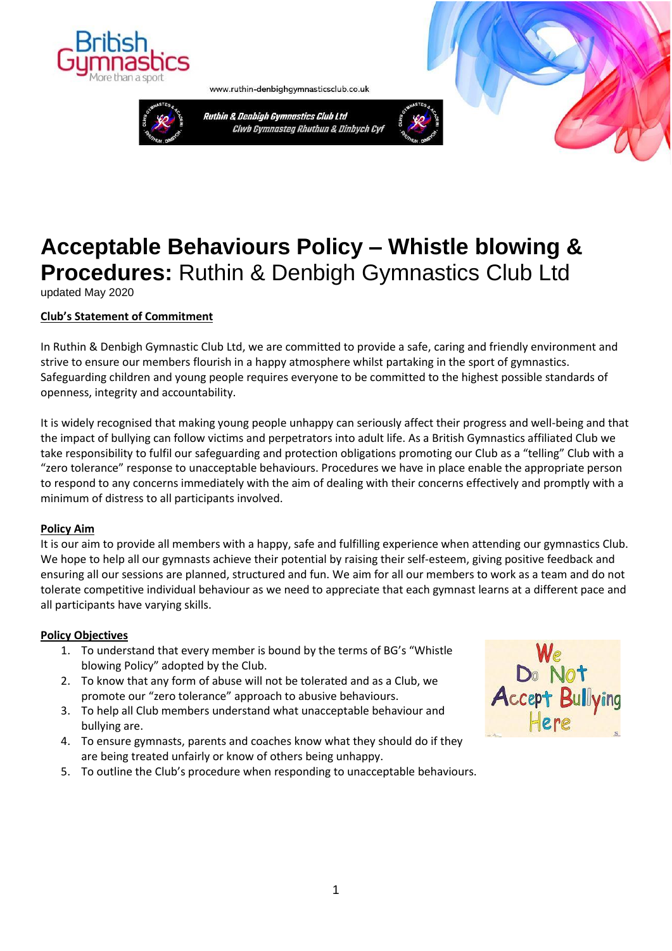

www.ruthin-denbighgymnasticsclub.co.uk



Ruthin & Denbigh Gymnastics Club Ltd Clwb Gymnasteg Rhuthun & Dinbych Cyf



# **Acceptable Behaviours Policy – Whistle blowing & Procedures:** Ruthin & Denbigh Gymnastics Club Ltd

updated May 2020

## **Club's Statement of Commitment**

In Ruthin & Denbigh Gymnastic Club Ltd, we are committed to provide a safe, caring and friendly environment and strive to ensure our members flourish in a happy atmosphere whilst partaking in the sport of gymnastics. Safeguarding children and young people requires everyone to be committed to the highest possible standards of openness, integrity and accountability.

It is widely recognised that making young people unhappy can seriously affect their progress and well-being and that the impact of bullying can follow victims and perpetrators into adult life. As a British Gymnastics affiliated Club we take responsibility to fulfil our safeguarding and protection obligations promoting our Club as a "telling" Club with a "zero tolerance" response to unacceptable behaviours. Procedures we have in place enable the appropriate person to respond to any concerns immediately with the aim of dealing with their concerns effectively and promptly with a minimum of distress to all participants involved.

## **Policy Aim**

It is our aim to provide all members with a happy, safe and fulfilling experience when attending our gymnastics Club. We hope to help all our gymnasts achieve their potential by raising their self-esteem, giving positive feedback and ensuring all our sessions are planned, structured and fun. We aim for all our members to work as a team and do not tolerate competitive individual behaviour as we need to appreciate that each gymnast learns at a different pace and all participants have varying skills.

## **Policy Objectives**

- 1. To understand that every member is bound by the terms of BG's "Whistle blowing Policy" adopted by the Club.
- 2. To know that any form of abuse will not be tolerated and as a Club, we promote our "zero tolerance" approach to abusive behaviours.
- 3. To help all Club members understand what unacceptable behaviour and bullying are.
- 4. To ensure gymnasts, parents and coaches know what they should do if they are being treated unfairly or know of others being unhappy.
- 5. To outline the Club's procedure when responding to unacceptable behaviours.

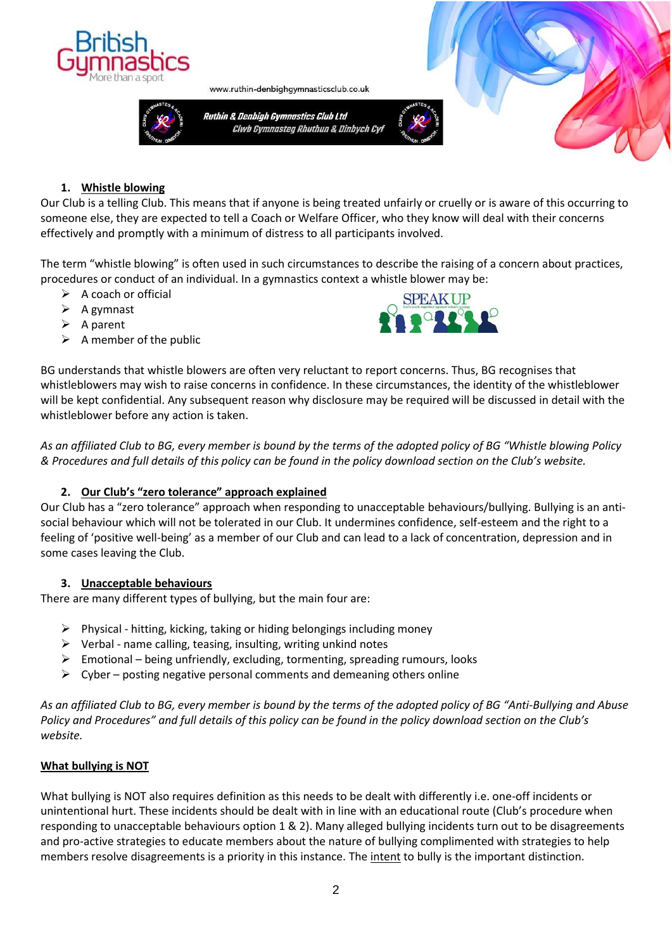



www.ruthin-denbighgymnasticsclub.co.uk

Ruthin & Denbigh Gymnastics Club Ltd Clwb Gymnasteg Rhuthun & Dinbych Cyf





# **1. Whistle blowing**

Our Club is a telling Club. This means that if anyone is being treated unfairly or cruelly or is aware of this occurring to someone else, they are expected to tell a Coach or Welfare Officer, who they know will deal with their concerns effectively and promptly with a minimum of distress to all participants involved.

The term "whistle blowing" is often used in such circumstances to describe the raising of a concern about practices, procedures or conduct of an individual. In a gymnastics context a whistle blower may be:

- $\triangleright$  A coach or official
- $\triangleright$  A gymnast
- $\triangleright$  A parent
- $\triangleright$  A member of the public



BG understands that whistle blowers are often very reluctant to report concerns. Thus, BG recognises that whistleblowers may wish to raise concerns in confidence. In these circumstances, the identity of the whistleblower will be kept confidential. Any subsequent reason why disclosure may be required will be discussed in detail with the whistleblower before any action is taken.

*As an affiliated Club to BG, every member is bound by the terms of the adopted policy of BG "Whistle blowing Policy & Procedures and full details of this policy can be found in the policy download section on the Club's website.* 

# **2. Our Club's "zero tolerance" approach explained**

Our Club has a "zero tolerance" approach when responding to unacceptable behaviours/bullying. Bullying is an antisocial behaviour which will not be tolerated in our Club. It undermines confidence, self-esteem and the right to a feeling of 'positive well-being' as a member of our Club and can lead to a lack of concentration, depression and in some cases leaving the Club.

# **3. Unacceptable behaviours**

There are many different types of bullying, but the main four are:

- $\triangleright$  Physical hitting, kicking, taking or hiding belongings including money
- $\triangleright$  Verbal name calling, teasing, insulting, writing unkind notes
- $\triangleright$  Emotional being unfriendly, excluding, tormenting, spreading rumours, looks
- $\triangleright$  Cyber posting negative personal comments and demeaning others online

*As an affiliated Club to BG, every member is bound by the terms of the adopted policy of BG "Anti-Bullying and Abuse Policy and Procedures" and full details of this policy can be found in the policy download section on the Club's website.* 

# **What bullying is NOT**

What bullying is NOT also requires definition as this needs to be dealt with differently i.e. one-off incidents or unintentional hurt. These incidents should be dealt with in line with an educational route (Club's procedure when responding to unacceptable behaviours option 1 & 2). Many alleged bullying incidents turn out to be disagreements and pro-active strategies to educate members about the nature of bullying complimented with strategies to help members resolve disagreements is a priority in this instance. The intent to bully is the important distinction.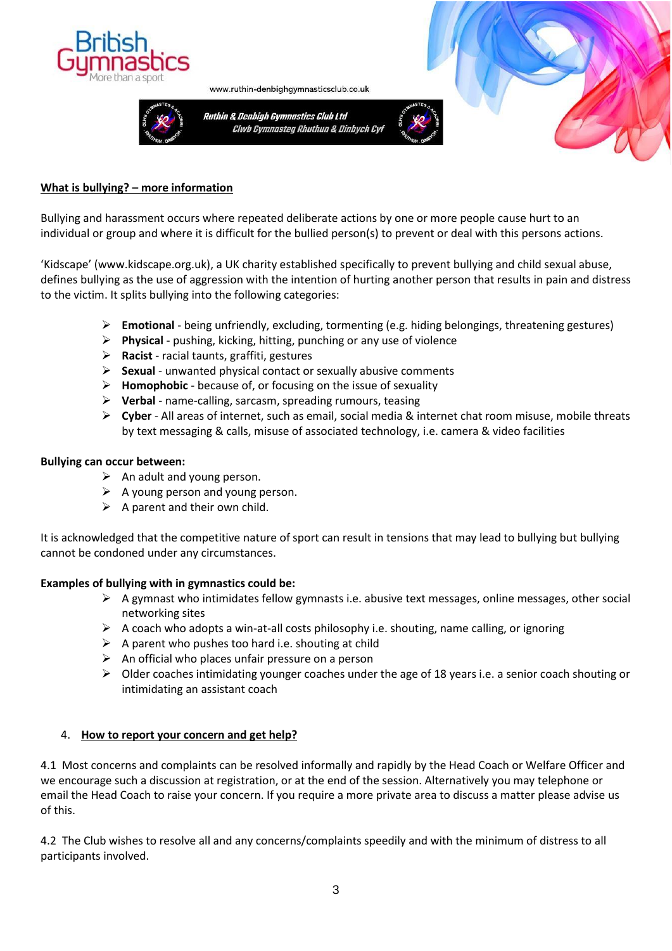

Ruthin & Denbigh Gymnastics Club Ltd Clwb Gymnasteg Rhuthun & Dinbych Cyf

www.ruthin-denbighgymnasticsclub.co.uk





## **What is bullying? – more information**

Bullying and harassment occurs where repeated deliberate actions by one or more people cause hurt to an individual or group and where it is difficult for the bullied person(s) to prevent or deal with this persons actions.

'Kidscape' (www.kidscape.org.uk), a UK charity established specifically to prevent bullying and child sexual abuse, defines bullying as the use of aggression with the intention of hurting another person that results in pain and distress to the victim. It splits bullying into the following categories:

- ➢ **Emotional**  being unfriendly, excluding, tormenting (e.g. hiding belongings, threatening gestures)
- ➢ **Physical**  pushing, kicking, hitting, punching or any use of violence
- ➢ **Racist**  racial taunts, graffiti, gestures
- ➢ **Sexual**  unwanted physical contact or sexually abusive comments
- ➢ **Homophobic**  because of, or focusing on the issue of sexuality
- ➢ **Verbal**  name-calling, sarcasm, spreading rumours, teasing
- ➢ **Cyber**  All areas of internet, such as email, social media & internet chat room misuse, mobile threats by text messaging & calls, misuse of associated technology, i.e. camera & video facilities

#### **Bullying can occur between:**

- $\triangleright$  An adult and young person.
- $\triangleright$  A young person and young person.
- $\triangleright$  A parent and their own child.

It is acknowledged that the competitive nature of sport can result in tensions that may lead to bullying but bullying cannot be condoned under any circumstances.

## **Examples of bullying with in gymnastics could be:**

- ➢ A gymnast who intimidates fellow gymnasts i.e. abusive text messages, online messages, other social networking sites
- $\triangleright$  A coach who adopts a win-at-all costs philosophy i.e. shouting, name calling, or ignoring
- $\triangleright$  A parent who pushes too hard i.e. shouting at child
- $\triangleright$  An official who places unfair pressure on a person
- $\triangleright$  Older coaches intimidating younger coaches under the age of 18 years i.e. a senior coach shouting or intimidating an assistant coach

## 4. **How to report your concern and get help?**

4.1 Most concerns and complaints can be resolved informally and rapidly by the Head Coach or Welfare Officer and we encourage such a discussion at registration, or at the end of the session. Alternatively you may telephone or email the Head Coach to raise your concern. If you require a more private area to discuss a matter please advise us of this.

4.2 The Club wishes to resolve all and any concerns/complaints speedily and with the minimum of distress to all participants involved.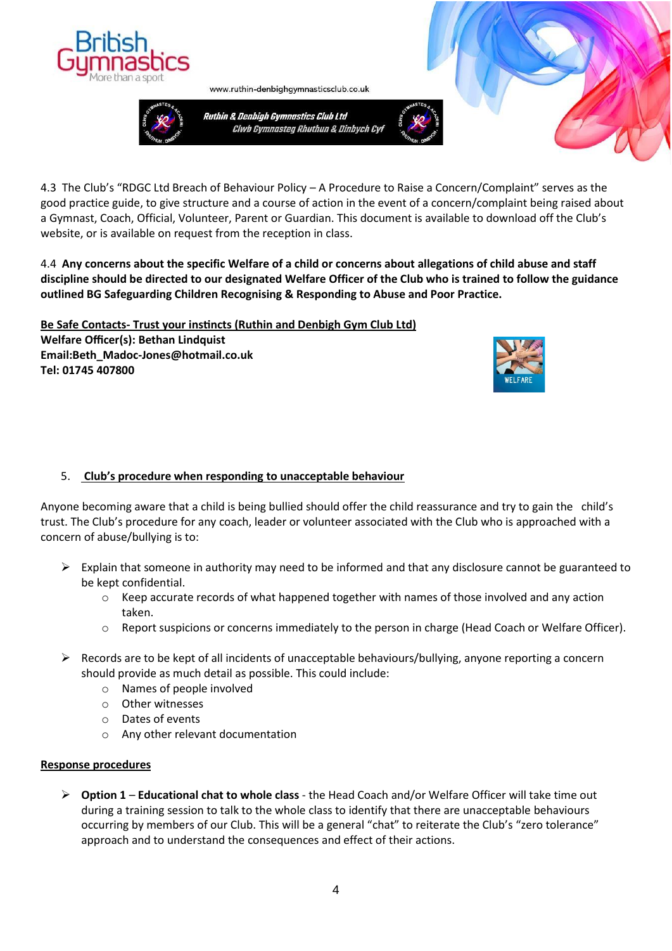



Ruthin & Denbigh Gymnastics Club Ltd Clwb Gymnasteg Rhuthun & Dinbych Cyf

www.ruthin-denbighgymnasticsclub.co.uk



4.3 The Club's "RDGC Ltd Breach of Behaviour Policy – A Procedure to Raise a Concern/Complaint" serves as the good practice guide, to give structure and a course of action in the event of a concern/complaint being raised about a Gymnast, Coach, Official, Volunteer, Parent or Guardian. This document is available to download off the Club's website, or is available on request from the reception in class.

4.4 **Any concerns about the specific Welfare of a child or concerns about allegations of child abuse and staff discipline should be directed to our designated Welfare Officer of the Club who is trained to follow the guidance outlined BG Safeguarding Children Recognising & Responding to Abuse and Poor Practice.** 

**Be Safe Contacts- [Trust your instincts \(Ruthin and Denbigh Gym Club](http://www.ruthin-denbighgymnasticsclub.co.uk/contact-welfare-officer/) Ltd) Welfare Officer(s): Bethan Lindquist Email:Beth\_Madoc-Jones@hotmail.co.uk Tel: 01745 407800** 



# 5. **Club's procedure when responding to unacceptable behaviour**

Anyone becoming aware that a child is being bullied should offer the child reassurance and try to gain the child's trust. The Club's procedure for any coach, leader or volunteer associated with the Club who is approached with a concern of abuse/bullying is to:

- $\triangleright$  Explain that someone in authority may need to be informed and that any disclosure cannot be guaranteed to be kept confidential.
	- $\circ$  Keep accurate records of what happened together with names of those involved and any action taken.
	- o Report suspicions or concerns immediately to the person in charge (Head Coach or Welfare Officer).
- $\triangleright$  Records are to be kept of all incidents of unacceptable behaviours/bullying, anyone reporting a concern should provide as much detail as possible. This could include:
	- o Names of people involved
	- o Other witnesses
	- o Dates of events
	- o Any other relevant documentation

## **Response procedures**

➢ **Option 1** – **Educational chat to whole class** - the Head Coach and/or Welfare Officer will take time out during a training session to talk to the whole class to identify that there are unacceptable behaviours occurring by members of our Club. This will be a general "chat" to reiterate the Club's "zero tolerance" approach and to understand the consequences and effect of their actions.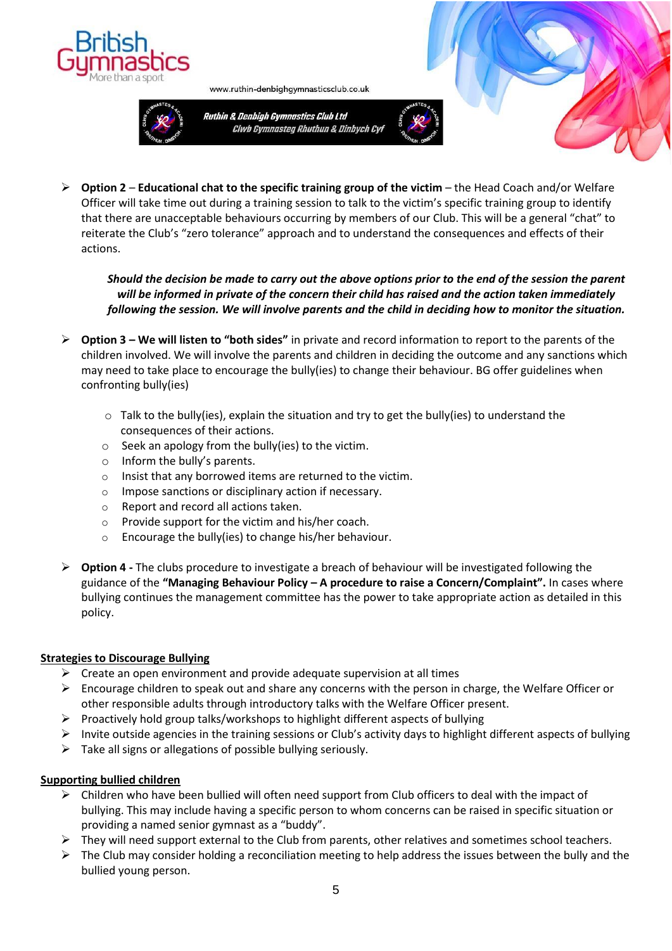



Ruthin & Denbigh Gymnastics Club Ltd Clwb Gymnasteg Rhuthun & Dinbych Cyf

www.ruthin-denbighgymnasticsclub.co.uk





*Should the decision be made to carry out the above options prior to the end of the session the parent will be informed in private of the concern their child has raised and the action taken immediately following the session. We will involve parents and the child in deciding how to monitor the situation.*

- ➢ **Option 3 – We will listen to "both sides"** in private and record information to report to the parents of the children involved. We will involve the parents and children in deciding the outcome and any sanctions which may need to take place to encourage the bully(ies) to change their behaviour. BG offer guidelines when confronting bully(ies)
	- $\circ$  Talk to the bully(ies), explain the situation and try to get the bully(ies) to understand the consequences of their actions.
	- o Seek an apology from the bully(ies) to the victim.
	- o Inform the bully's parents.
	- o Insist that any borrowed items are returned to the victim.
	- o Impose sanctions or disciplinary action if necessary.
	- o Report and record all actions taken.
	- o Provide support for the victim and his/her coach.
	- o Encourage the bully(ies) to change his/her behaviour.
- ➢ **Option 4 -** The clubs procedure to investigate a breach of behaviour will be investigated following the guidance of the **"Managing Behaviour Policy – A procedure to raise a Concern/Complaint".** In cases where bullying continues the management committee has the power to take appropriate action as detailed in this policy.

# **Strategies to Discourage Bullying**

- $\triangleright$  Create an open environment and provide adequate supervision at all times
- $\triangleright$  Encourage children to speak out and share any concerns with the person in charge, the Welfare Officer or other responsible adults through introductory talks with the Welfare Officer present.
- $\triangleright$  Proactively hold group talks/workshops to highlight different aspects of bullying
- $\triangleright$  Invite outside agencies in the training sessions or Club's activity days to highlight different aspects of bullying
- $\triangleright$  Take all signs or allegations of possible bullying seriously.

# **Supporting bullied children**

- $\triangleright$  Children who have been bullied will often need support from Club officers to deal with the impact of bullying. This may include having a specific person to whom concerns can be raised in specific situation or providing a named senior gymnast as a "buddy".
- $\triangleright$  They will need support external to the Club from parents, other relatives and sometimes school teachers.
- $\triangleright$  The Club may consider holding a reconciliation meeting to help address the issues between the bully and the bullied young person.